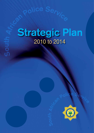# **POLICE Service** 2010 to 2014

**So**

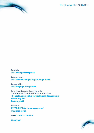The Strategic Plan 2010 to 2014

# Compiled by **SAPS Strategic Management**

Design and Layout **SAPS Corporate Image: Graphic Design Studio**

Language Editing **SAPS Language Management**

Further information on the Strategic Plan for the South African Police Service 2010/2011 can be obtained from:

**The South African Police Service National Commissioner Private Bag X94 Pretoria, 0001**

APS Website: **HYPERLINK "http://www.saps.gov.za" www.saps.gov.za**

ISBN: **978-0-621-39092-6**

**RP08/2010**

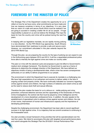# **FOREWORD BY THE MINISTER OF POLICE**

The Strategic Plan of the Department creates the opportunity for us to reflect on how far we have come, what commitments we have made and how we measure ourselves in terms of our objectives. It is very clear that our vision of a safe and secure South Africa must be realized if we are going to succeed in creating a better life for all our people. A huge responsibility is placed on us and we believe the Strategic Plan lays the basis for how the country and crime will be policed during the next five years.

In keeping with our legislative mandate, we are rapidly moving policing in a new direction. As the FIFA World Cup approaches, South Africans have demonstrated their readiness to provide a safe and secure event. However, our commitment articulated in this plan extends beyond the 2010 FIFA World Cup.



Minister of Police **EN Mthethwa**

Through this plan, we are preparing the country for the type of policing we can expect to see in the forthcoming years between 2010 and 2014: It will be a capacitated professional police force able to intensify the fight against crime and make our country safer.

This plan is in line with the electoral cycle and proposes to give full effect to Government's medium-term strategic framework. The direction by Government is used as a frame of reference to determine the strategic direction of the Department. We have defined our objectives mindful of being a developmental state, where crime has severe consequences particularly on our ability to deliver programmes to our people.

The environment in which the Department has to execute its mandate is a challenging one. We have high expectations of our policemen and women to deliver safety in the face of ongoing contact and property crimes. We have continually indicated our concerns regarding crimes against women and children, the high numbers of robberies and violent crime as well as the need to reduce stock theft and sexual offences.

Therefore the plan creates the basis for us to refocus on: visible policing and crime prevention; enhanced detective services and the capacitating of the Directorate of Priority Crime Investigations; the central role that must be played by crime intelligence and the development of a more disciplined, professional force. In addition, the plan speaks to the establishment of specialized units to address crimes against women and children, the role of war rooms, improvement of human and infrastructure capacity and the importance of developing partnerships.

Despite the challenging environment, the Department has been able to record significant success in its fight against crime. It is a trajectory that we commit ourselves to continuing in the foreseeable future.

Our plan provides a broad framework of key priorities that will be operationalised over the next four years. We intend to accompany this plan with targeted annual performance plans and submit alongside this Strategic Plan the 2010/2011 Annual Performance Plan.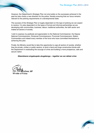However, the Department's Strategic Plan not only builds on the successes achieved in the past but also charts a new direction for the police, thereby ensuring that our focus remains relevant to the policing requirements of a developmental state.

The success of this Strategic Plan is hugely dependant on the type of policing we can expect to receive. It is also dependent on the types of formal and informal partnerships we are developing with communities, business, labour, traditional authorities, the faith sector and indeed all sectors of society.

I wish to express my gratitude and appreciation to the National Commissioner, the Deputy National Commissioners, Divisional Commissioners, Provincial Commissioners, Station Commanders and indeed every member of the force who have committed themselves to achieving this plan.

Finally, the Ministry would like to take this opportunity to urge all sectors of society, whether they be private, civilian or public sectors, to lend a hand and forge constructive bonds with the Department in eradicating the scourge of crime and building a more prosperous, safe and secure nation.

*Sibambisene singabuqeda ubugebengu – together we can defeat crime*

iethwa. MP Minister of Police

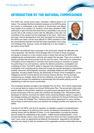# **INTRODUCTION BY THE NATIONAL COMMISSIONER**

The SAPS has, during recent years, traversed a difficult period in its history. The mandate that the Constitution bestows on the SAPS to police the country is undoubtedly a key element of Government and affects every aspect of our society. It is, however, not an easy mandate to fulfill, particularly in light of the fact that South Africa is essentially a very young country that is still coming to terms with the difficulties of the past, the constraints of the present and the challenges of the future. There have also been internal developments that have disrupted the functioning of the SAPS and made it all the more difficult for SAPS members to fulfill the extraordinarily important role that this large organisation has to play. This Strategic Plan, however, marks the beginning of a new chapter in the history of the SAPS.



National Commissioner **BH Cele**

The SAPS has achieved many successes in the recent past, despite the difficulties that I have described. The intention of this Strategic Plan is to build on those successes, but equally to embark on a new, forceful course of action that will see the SAPS firmly establishing the professionalism, authority and respect that we seek. There are a number of specific priorities that will be pursued over the next four years. There will be an entrenching of discipline and an emphasis on command and control among our members to support the performing of our core functions, namely the effective prevention, investigation and combating of crime. The SAPS' ability to respond to the challenges of crime prevention, investigation and combating will be enhanced through the focused developing of specialized, properly resourced, technologically advanced, adequately skilled and well-managed capacities, including Visible Policing, the Directorate of Priority Crime Investigations, Crime Intelligence and the Criminal Record and Forensic Science Service. The key principle underpinning our strategic efforts will be the mobilizing of all sectors of society in the fight against crime through the establishing of partnerships that will benefit policing and the establishing of safe and secure communities.

The considered direction provided in this Strategic Plan for 2010 - 2014 will be implemented on an annual basis by means of an Annual Performance Plan. This annual plan will provide specific details on the priorities, objectives and performance standards that the SAPS will pursue during each of the four years that constitute this Strategic Plan. Performance plans developed at national, provincial and station levels containing detailed outputs in support of the strategic priorities and objectives, will be used to implement the Annual Performance Plan and in so doing, the Strategic Plan. Individual performance agreements for every member will be linked to performance plans and therefore the strategic priorities and objectives of the SAPS.

It is time for the SAPS, and all of its members, to establish a position of professionalism, authority and respect in its policing of this country. As National Commissioner of Police, working closely with the Minister of Police, it is my responsibility to provide the direction that will enable the establishing of this position. "Indlela ibuzwa kwabaphambili", a Zulu proverb that literally means a way forward is asked from those who have travelled down the road. I have, since my appointment as National Commissioner, supported by the Minister, indicated very clearly to both the members of this organisation and the communities that we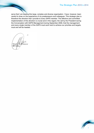serve that I am leading this large, complex and diverse organisation. I have, however, been careful to draw on the experience of my predecessors and colleagues. This strategic plan is therefore the direction that I provide to every SAPS member. The effective and committed implementation of this direction is crucial and in this regard, the call by the President during the Conversation with SAPS Management during September 2009, that the management and every single member of the SAPS must work hard to achieve our priorities and targets, must and will be heeded.

National Commissioner BH Cele

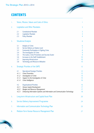# **CONTENTS**

| 1. |       | Vision, Mission, Values and Code of Ethics                                 | 1              |
|----|-------|----------------------------------------------------------------------------|----------------|
| 2. |       | <b>Legislative and Other Mandates</b>                                      | 3              |
|    | 2.1   | <b>Constitutional Mandate</b>                                              | $\overline{3}$ |
|    | 2.2   | Legislative Mandate                                                        | $\overline{3}$ |
|    | 2.3   | <b>Policy Mandate</b>                                                      | $\overline{4}$ |
| 3. |       | <b>Situational Analysis</b>                                                | 6              |
|    | 3.1   | Analysis of Crime                                                          | 6              |
|    | 3.2   | Service Delivery at Station Level                                          | $\overline{7}$ |
|    | 3.3   | <b>Community Participation in Fighting Crime</b>                           | 8              |
|    | 3.4   | The Investigation of Crime                                                 | 9              |
|    | 3.5   | The Justice, Crime Prevention and Security Cluster                         | 9              |
|    | 3.6   | Increases to the Staff Establishment                                       | 10             |
|    | 3.7   | Improving Infrastructure                                                   | 10             |
|    | 3.8   | <b>Technology and Resource Utilisation</b>                                 | 10             |
| 4. |       | <b>Strategic Priorities of the SAPS</b>                                    | 12             |
|    | 4.1   | <b>Operational Strategic Priorities</b>                                    | 12             |
|    | 4.1.1 | Crime Prevention                                                           | 12             |
|    | 4.1.2 | Investigation of Crime                                                     | 14             |
|    | 4.1.3 | Support to the Investigation of Crime                                      | 15             |
|    | 4.1.4 | Crime Intelligence                                                         | 16             |
|    | 4.2   | <b>Organisational Priorities</b>                                           | 16             |
|    | 4.2.1 | Human Capital Development                                                  | 17             |
|    | 4.2.2 | <b>Budget and Resource Management</b>                                      | 17             |
|    | 4.2.3 | Enhancing Information Systems and Information and Communication Technology | 18             |
| 5. |       | Long-term Infrastructure and Capital Asset Plan                            | 20             |
| 6. |       | Service Delivery Improvement Programme                                     | 24             |
| 7. |       | Information and Communication Technology Plan                              | 25             |
| 8. |       | Medium-Term Human Resource Management Plan                                 | 27             |

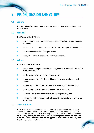# **1. VISION, MISSION AND VALUES**

## **1.1 Vision:**

The vision of the SAPS is to create a safe and secure environment for all the people in South Africa.

## **1.2 Mission:**

The Mission of the SAPS is to -

- prevent and combat anything that may threaten the safety and security of any community;
- investigate all crimes that threaten the safety and security of any community;
- ensure offenders are brought to justice; and
- participate in efforts to address the root causes of crime.

#### **1.3 Values:**

The values of the SAPS are to -

- protect everyone's rights and to be impartial, respectful, open and accountable to the community;
- use the powers given to us in a responsible way;
- provide a responsible, effective and high-quality service with honesty and integrity;
- evaluate our service continuously and make every effort to improve on it;
- ensure the effective, efficient and economic use of resources;
- develop the skills of all members through equal opportunity; and
- cooperate with all communities, all spheres of Government and other relevant role-players.

#### **1.4 Code of Ethics:**

The Code of Ethics of the SAPS underpins the way in which every member of this organisation should behave, irrespective of whether they are on duty or not. This Code has the specific purpose of providing a standard of police behaviour that does not allow any leniency for poor service delivery or corrupt activities by the members of this organisation and must therefore be applied by all members in their daily tasks. The Code of Ethics is as follows: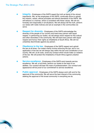- **Integrity** Employees of the SAPS regard the truth as being of the utmost importance. We, as the employees of the SAPS, continually strive to uphold the mission, values, ethical principles and ethical standards of the SAPS. We will behave in a manner, which is consistent with these values. We will act honestly and responsibly in all situations. We will always tell the truth, perform our duties with noble motives and set an example in the communities we serve.
- **Respect for diversity** Employees of the SAPS acknowledge the diversity of the people of our country and treat every person with equal respect. In performing our duties, we will always show respect for the cultural and other diversities in the community. We will treat every person with equal respect and honour their rights as inhabitants of South Africa. We will not unlawfully discriminate against any person.
- **Obedience to the law Employees of the SAPS respect and uphold** the law at all times. Our duties mainly involve enforcing the law, and in our application of the law we will always stay within the law and Constitution of our country. We will, at all costs, avoid any conduct which would make us violators of the law. We will protect the inhabitants of South Africa against unlawful actions.
- **Service excellence** Employees of the SAPS work towards service excellence. We will, at all times, perform our duties to the best of our abilities. Our conduct will bear the mark of professionalism. Our conduct and appearance will be proof of our commitment to service excellence.
- **Public approval** Employees of the SAPS always work with and for the approval of the community. We will serve the best interest of the community, seeking the approval of the broad community in everything we do.

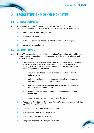# **2. LEGISLATIVE AND OTHER MANDATES**

# **2.1 Constitutional Mandate**

- 2.1.1 The mandate of the SAPS is derived from Section 205 of the Constitution of the Republic of South Africa, 1996 (Act 108 of 1996). The objectives of policing are to:
	- Prevent, combat and investigate crime.
	- Maintain public order.
	- Protect and secure the inhabitants of the Republic and their property.
	- Uphold and enforce the law.

## **2.2 Legislative Mandate**

- 2.2.1 The SAPS is responsible for the administration of the following legislation, which has been taken into consideration during the determining of the strategic priorities and objectives for the SAPS:
	- The South African Police Service Act, 1995 (Act No. 68 of 1995), as amended by the South African Police Service Amendment Act, 2008 (Act No. 57 of 2008). This Act states that "there is a need to provide a police service throughout the national territory to:
		- **EXECUTE:** ensure the safety and security of all persons and property in the national territory;
		- ➤ uphold and safeguard the fundamental rights of every person as guaranteed by Chapter 2 of the Constitution;
		- ➤ ensure co-operation between the Service and the communities it serves in the combating of crime;
		- ➤ reflect respect for victims of crime and an understanding of their needs; and
		- ➤ ensure effective civilian supervision over the Service".
	- Protection of Constitutional Democracy Against Terrorist and Related Activities Act, 2004 (Act No. 33 of 2004).
	- Firearms Control Act, 2000 (Act No. 60 of 2000).
	- Explosives Act, 1956 (Act No. 26 of 1956).
	- Tear-gas Act, 1964 (Act No. 16 of 1964).
	- Dangerous Weapons Act, 1968 (Act No. 71 of 1968).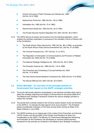- Control of Access to Public Premises and Vehicles Act, 1985 (Act No. 53 of 1985).
- National Key Points Act, 1980 (Act No. 102 of 1980).
- Intimidation Act, 1982 (Act No. 72 of 1982).
- Second-hand Goods Act, 1955 (Act No. 23 of 1955).
- The Private Security-Industry Regulation Act, 2001 (Act No. 56 of 2001).

P

- 2.2.2 The SAPS derives its powers and functions from the following legislation, which enables the activities undertaken in pursuance of its mandate in terms of Section 205 of the Constitution:
	- The South African Police Service Act, 1995 (Act No. 68 of 1995), as amended by the South African Police Service Amendment Act, (Act No. 57 of 2008).
	- The Criminal Procedure Act, 1977 (Act No. 51 of 1977).
	- The Regulation of Interception of Communications and Provision of Related Information Act, 2002 (Act No. 70 of 2002).
	- The National Strategic Intelligence Act, 1994 (Act No. 39 of 1994).
	- The Domestic Violence Act, 1998 (Act No. 116 of 1998).
	- The Prevention and Combating of Corrupt Activities Act, 2004 (Act No. 12 of 2004).
	- The Inter-Governmental Relations Framework Act, 2005 (Act No 13 of 2005).
	- The Sexual Offences Act, 2007 (Act No. 32 of 2007).

# **2.3 Policy Mandate - an overview of the principle policies of Government that impact on the SAPS' strategic priorities**

- 2.3.1 The fourth democratic elections necessitated a new electoral mandate which had to define the strategic objectives and targets of Government for the period 2009-2014. The Medium-term Strategic Framework contains the various strategic priorities to realize this mandate.
- 2.3.2 The priority that is directly related to the Criminal Justice System (CJS) and therefore to the SAPS is: "to intensify the fight against crime and corruption". The President placed considerable emphasis on this issue among others during his State of the Nation Address in June 2009.
- 2.3.3 The SAPS functions as an integral part of the Justice Crime Prevention and Security (JCPS) Cluster, and the priorities of this Cluster must therefore be taken into consideration by the SAPS. The Ministry for Performance Management Monitoring and Evaluation at the Presidency has developed an outcome based planning framework for the priorities as contained in the Medium-term Strategic Framework.

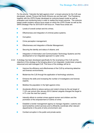For the priority: "Intensify the fight against crime", a broad outcome for the CJS was developed, namely "Ensure that South Africans are and feel safe". The Presidency, together with the JCPS Cluster developed an outcome-based model as well as evaluation and monitoring tools in order to realise this broad outcome. The outcome based model contains various focus areas on which the JCPS Cluster as well as the SAPS Strategic Plan for 2010-2014 will focus on. These focus areas are:

- Levels of overall contact and trio crimes:
- Effectiveness and integration of criminal justice systems;
- Corruption;

- Crime perception management:
- Effectiveness and integration of Border Management;
- Securing the identity and status of citizens; and
- Integration of Information and Communication Technology Systems and the development of an integrated approach to cyber crime.
- 2.3.4 A strategy has been developed specifically for the revamping of the CJS and the objective of this strategy is the bringing about of an integrated, modernized, properly resourced and well-managed CJS. The focus of the strategy will be to:
	- Improve the efficiency and effectiveness of the CJS by enhancing detective and forensic environments;
	- Modernize the CJS through the application of technology solutions;
	- Enhance the skills and increasing the number of investigators and forensic experts;
	- Mobilize the population in the fight against crime;
	- Accelerate efforts to reduce serious and violent crimes by the set target of 7-10% per annum (the January 2010 Cabinet Lekgotla changed the target to 4-7% over the next four years);
	- Intensify efforts to combat crimes against women and children and the promotion of the empowerment of victims of crime;
	- Establish a border management agency to manage migration, customs and land borderline control services and to efficiently coordinate other relevant departments in the ports of entry environment; and
	- Combat corruption in the public and private sector.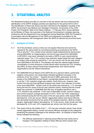

# **3. SITUATIONAL ANALYSIS**

The Situational Analysis provides an overview of the key factors that have influenced the identification of the SAPS' strategic priorities and objectives for the period 2010 to 2014. The identification of these key factors has been informed by the legislative mandate of the SAPS, Government's key Medium-term Strategic Framework, the priorities of the JCPS Cluster, the Presidents' State of the Nation Address - 11 February 2010, issues identified by the Minster of Police, the outcomes of the National Commissioner's strategic planning conference with the Department's top management during September 2009, the President's Conversation with the Management of the SAPS and subsequent consultation by the National Commissioner with management within the SAPS at national and provincial levels.

# **3.1 Analysis of Crime**

- 3.1.1 All of the prioritized, serious crimes are not equally influenced and cannot be reduced to the same extent by conventional policing as practiced by the SAPS. This is why the 7-10% contact crime reduction target implemented by Government during 2004/2005, for implementation over the ten-year period from 2004/2005 to 2013/2014, was never intended to be solely a SAPS or even overall policing reduction target. The 7-10% contact crime reduction target stated that each category of contact crime should be reduced by 7-10% per annum over the ten-year period from 2004/2005 to 2013/2014. The intention was that this national target towards normalization of crime should be a South African effort involving the CJS, including the SAPS, all other relevant Government Departments, Non-Governmental Organisations and the citizens themselves.
- 3.1.2 The 2008/2009 Annual Report of the SAPS did not in general reflect a particularly negative crime picture, but unfortunately indicated significant increases in the incidence of the "trio crimes" <sup>1</sup> . Towards the end of 2009, particularly since the release of the 2008/2009 Annual Report, considerable debate arose as to whether or not the 7-10% reduction target was realistic. South Africa can, however, take comfort from the fact that significant progress was made in the reduction of contact crime since 2004/2005. Contact crime on the whole was reduced by -7,1% annually during the first four years of the ten-year reduction period, meaning that the overall target was achieved. In 2008/2009 (the fifth year of targeted reduction) only a -4,1% reduction was achieved. In the case of attempted murder, common robbery and common assault, average decreases of -8,4%; -8,2% and -6,9% respectively were achieved during the first five years of the ten-year period, while assault GBH decreased by -5,0% per annum. Murder, aggravated robbery and sexual offences also decreased during the first five years of the targeted reduction, albeit by smaller margins. Aggravated robbery decreased by -2,7% per annum, while murder and rape decreased by -2,5% and -2,3% respectively per annum over the first five years.
- 3.1.3 This means that by the middle of the 7 10% ten-year reduction period, three trends, namely aggravated robbery, murder and sexual offences emerged as the categories presenting the greatest challenges to the reduction effort. An analysis of these three trends indicates the following:
	- The difficulty experienced in reducing sexual offences was mainly due to changes in the legislation relating to these offences which caused rape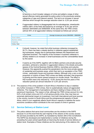to become a much broader category of crime and added a range of other sexual offences mainly generated by police action to the previously existing categories of rape and indecent assault. This led to an increase in sexual offences which brought the average reduction down to -2,3% per annum.

If aggravated robbery is disaggregated into its subcategories, street/public robbery (60% of the total) decreased by an average of -6,3% per annum between 2004/2005 and 2008/2009. At the same time, the TRIO crimes (almost 40% of all aggravated robbery) increased as follows per annum:

| <b>Crime</b>      | Average increase per annum 2004/2005 - 2008/2009 |
|-------------------|--------------------------------------------------|
| House robbery     | 19.4%                                            |
| Business robbery  | 55.7%                                            |
| Carjacking        | 1,6%                                             |
| <b>TOTAL TRIO</b> | 15,3%                                            |

- It should, however, be noted that while business robberies increased by 55.7%, there has been a steady decline in robberies against established big businesses, largely due to partnerships between the Department and organised business. The majority of the increase in business robberies is directly related to an increase in small businesses and the vulnerabilities faced by this sector.
- It seems as if the SAPS, together with its Metro partners and private security providers, achieved a reduction in aggravated robbery in the streets and public spaces of the Central Business Districts (CBD's), townships and suburbs. However, this apparently pushed the perpetrators into the more private spaces of residential and business areas, which then led to an escalation of the TRIO crimes - particularly house and business robbery. Although only a very a small proportion of victims of these TRIO crimes are fatally wounded, that proportion is growing and this exerts upward pressure on murder trends. The effect is that murders were only reduced by -12,6% during the first five years of the reduction period (an annual reduction of -2,5% per annum).
- 3.1.4 The essence of the crime problem in South Africa is therefore to stop or stabilize any further increases in TRIO crimes, then to systematically reduce all aggravated robberies. The management of perceptions and fears relating to these crimes is of paramount importance. The reason is that, although the TRIO crimes account for only 6,9% of all contact crime and 2,3% of all serious priority crime, they may have an extremely detrimental impact on investment, from both international and local sources in the country, tourism to South Africa and the entrepreneurial capacity of South Africa, which in turn negatively affects South Africa's capacity to address the socioeconomic conditions which contribute to the root causes of crime in general.

## **3.2 Service Delivery at Station Level**

3.2.1 The police stations that serve local communities are the window to the SAPS because it is at this level that the vast majority of the citizens of the country access the services provided by the SAPS, as mandated by Section 205 of the Constitution. The SAPS has developed and implemented a number of initiatives during the preceding five years aimed specifically at improving the levels of service delivery at station level. Examples of these initiatives are the restructuring of the stations into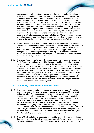more manageable clusters, the placement of senior, experienced personnel members at this level to coordinate effective and responsive policing within and across station boundaries, either as Station Commanders or as Cluster Commanders, and the implementation of Sector Policing in station precincts throughout the country. In addition to this, the station precincts in the country in whose area more than 50% of the priority crimes are committed, were identified and targeted for focused support from national and provincial levels, to support them in efforts to effectively address crime. The capacitating of stations across the country as described was supported by the adequate resourcing of stations and the upgrading of the technology and corporate systems available to manage crime and their station resources. The Government, the Executive and Management of the SAPS and communities served by local police stations, will continue to expect the unremitting improving of the levels of service delivery in terms of all of the services provided by the SAPS.

- 3.2.2 The levels of service delivery at station level are closely aligned with the levels of professionalism of personnel in their dealings with those individuals and organizations that access or contribute to the services provided by the SAPS. The more focused implementation of the Batho Pele programme, the rigorous application of risk management, the combating of corruption involving SAPS personnel members and the continued development of the skills of personnel members, will contribute to the continuous improving of levels of professionalism.
- 3.2.3 The expectations of a better life by the broader population since democratization of South Africa, have not been realized in all respects, and frustrations in this regard have been seen in the form of violent service delivery and labour-related protests. These protests have in the recent past been difficult to anticipate, have involved large numbers of people and, in many cases, have resulted in the perpetration of serious, violent crime such as public violence, malicious damage to property, assault and intimidation. The policing of these protests places an additional strain on the SAPS' resources, often leading to serious injury to personnel members and the damage/ destruction of physical resources. It is anticipated that protests of this nature will continue to materialize over the medium-term and consequently require additional planning and allocation of resources by the SAPS.

## **3.3 Community Participation in Fighting Crime**

- 3.3.1 There has, since the inception of a democratic dispensation in South Africa, been continuous, robust debate on the levels of crime and the success of Government in addressing crime. An important outcome of this debate on crime and what should be done to address it has been the need for the constructive involvement of all communities in the activities of the SAPS and Government as a whole in combating crime. The expectation that the SAPS eradicate crime in this country without such active involvement is unrealistic. Several platforms exist for such community involvement, the majority of which have been initiated by the SAPS, including the Community Police Forums, the Crime Stoppers reporting line, the recently established Crime Line, the Police Reservists and various community-based crime prevention initiatives such as the Youth Crime Prevention Capacity-building Programmes, the Anti-Rape Strategy and Local Crime Prevention Development Programmes.
- 3.3.2 The SAPS acknowledges and promotes the need for community involvement in the fight against crime and there have been numerous calls for such involvement from the Executive and Management of the SAPS for the mobilizing of communities in the fight

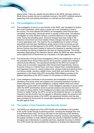against crime. There are, despite the best efforts of the SAPS, still large sectors of South African society that are not optimally involved in the SAPS' initiatives aimed at preventing crime and eliciting information on criminals and their activities.

## **3.4 The Investigation of Crime**

- 3.4.1 The investigation of crime is a core function of the SAPS, also mandated by Section 205 of the Constitution, which plays a crucial role in the combating of crime in the country. The more effective the SAPS is at investigating crime that has been committed, the less likely individuals will be to actually commit crime. The effective investigation of crime therefore remains a powerful deterrent in the fight against crime. During the preceding years, structural changes have been made to the Detective environment and most notable of these changes has been the closure of some specialized units. The need for the re-establishment of certain of these specialized units has been identified by certain sectors of the community as well as the Executive and Management of the SAPS. At police station level, Detective Service Centres have been created to improve the response to reported crime and the recruiting and training of detectives has been an ongoing process. The further, intensified capacitating of the Detective Service within the SAPS has been identified by the highest level of Government as a necessity in the fight against crime.
- 3.4.2 The Directorate of Priority Crime Investigations (DPCI) was established in terms of the amended South African Police Service Act to prevent, combat and investigate national priority offences. The operational priorities for the DPCI are focused on crimes such as Corruption (especially within Government Departments), Serious Economic Crimes (i.e. internet fraud, card fraud, cheque fraud, counterfeit goods), and Organised Crimes (i.e. vehicle-related crime, precious metal and diamond crime, non-ferrous metals, narcotics, wildlife crimes, stock theft, and violent crime). The appointment of the Head of the DPCI during May 2009 initiated a process of the gradual capacitating of the DPCI to place it in the position to fulfil its mandate.
- 3.4.3 Crime intelligence contributes to the prevention and investigation of crime by identifying crime prone areas and suspects and conducting operations focused on violent organized crime, security intelligence, property-related crimes and crimes dependent on police action for detection. Crime Intelligence operates at various levels within the SAPS and therefore strives to provide products and services that meet the needs of various clients. Crime Intelligence provides a key informational support function to Visible Policing, the DPCI, as well as the Detective Service. It is therefore imperative that this function has the capacity to effectively support the proactive and reactive informational needs of the SAPS' key operational functions and has also been prioritised by Government for accelerated capacitating as a key component of the fight against crime.

## **3.5 The Justice, Crime Prevention and Security Cluster**

3.5.1 The SAPS is an integral part of the JCPS Cluster and contributes to the priorities of the JCPS Cluster through its planning process, including the Strategic Plan and Annual Performance Plan. The focus has been on the improving of the efficiency and effectiveness of JCPS Cluster Departments including, reducing case backlogs; the speedy resolution of trials; effective safety and security in detention facilities; and increased use of alternatives to custodial sanctions, especially focusing on children. The JCPS Cluster has also prioritized the integration of existing intra-departmental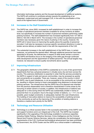information technology systems and the focused development of additional systems. The SAPS will continue to contribute actively towards the establishing of an integrated, modernized and well-managed CJS, in line with the prioritisation of this issue at the highest level of Government.

## **3.6 Increases to the Staff Establishment**

- 3.6.1 The SAPS has, since 2003, increased its staff establishment in order to increase the number of operational personnel members available for all key functions at station level, but specifically to increase the number of personnel members performing visible policing functions. The staff establishment has increased significantly from 131 500 in 2003 to 192 240 in March 2010. The increase in the number of operational personnel members was necessary given the nature of policing in the country, however, the SAPS will in future focus on improving the quality above the quantity of personnel recruited. It will also be necessary to pursue specific recruitment directions in order to bolster service delivery at station level in line with the requirements of the CJS.
- 3.6.2 The substantial increases in the staff establishment of the SAPS have, in certain instances, not achieved the desired effect. Although additional personnel have been appointed to fill posts, the deficiencies in respect of skills levels remain a concern. The SAPS will therefore focus on the bridging of the skills gap through continued skills development and the appointment of skilled personnel. The annual targets may, however, be reduced to ensure quality recruitments above quantity.

## **3.7 Improving Infrastructure**

3.7.1 The geographic distribution of the SAPS is substantial as it is one of few government departments that has a physical presence in virtually every city and town across the country. This extensive distribution is essential in order that the services provided by the SAPS in support of safe and secure communities, may be accessed as quickly and conveniently as is possible. There are, however, areas of the country in which the SAPS, due to past imbalances, is not as accessible to the community as it should be, resulting in citizens having to travel unacceptably long distances to access basic policing services. The infrastructure that the SAPS has at its disposal was inherited from the previous dispensation and is therefore characterised in some areas by the favouring of certain sectors of society. In addition, this infrastructure of stations was adequate for a time during which the SAPS was substantially smaller in terms of personnel than it is at present. Due to the large number of stations, i.e. 1 117, it is not possible, given budget constraints, to adequately maintain this vast infrastructure. The building of new police stations to improve the accessibility of policing services to the community as well as the improving of the condition of existing stations is therefore a medium-term priority for the SAPS.

## **3.8 Technology and Resource Utilisation**

3.8.1 Technology is a critical success factor in the successful performing of the SAPS' core and support functions and is an integral part of the CJS. The SAPS has invested significantly in the upgrading of the technology available to numerous capacities including Visible Policing, Detective Services, Crime Intelligence and the Criminal Record and Forensic Science Services, taking into consideration the technological requirements of the CJS. Continued technological advancement has been prioritized by Government, the JCPS Cluster and the SAPS as a critical enabler in addressing

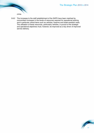

3.8.2 The increases to the staff establishment of the SAPS have been matched by concomitant increases in the levels of resources required for operational policing and in particular critical items such as vehicles, firearms and bullet-resistant vests. The utilisation of these resources, particularly vehicles, in pursuit of the strategic and operational objectives must, however, be improved as a key driver of improved service delivery.

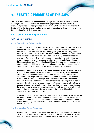# **4. STRATEGIC PRIORITIES OF THE SAPS**

The SAPS has identified a number of broad, strategic priorities that will direct its annual planning for the period 2010 to 2014. These strategic priorities are subdivided into operational priorities, i.e. those priorities directed at the SAPS' core functions in terms of Section 205 of the Constitution; and the organisational priorities, or those priorities aimed at the managing of the SAPS' resources.

## **4.1 Operational Strategic Priorities**

#### **4.1.1 Crime Prevention**

#### **4.1.1.1 Reduction of Crime Levels**

 The **reduction of crime levels**, specifically the **"TRIO crimes"** and **crimes against women and children**, including domestic violence, which despite continued success during the past, remains a challenging task given the prevailing socioeconomic conditions in the country. This is an objective that the SAPS can't achieve on its own and will require an integrated approach involving all communities and spheres of Government. The developing and implementation of **an intelligencedriven, integrated and comprehensive crime prevention strategy** will ensure this integrated approach. The **reduction of illegal firearms**, and the addressing of substance abuse, which are significant contributory factors in serious and violent crime in the country, will be addressed within the context of the strategy.

 **Increasing the visibility of SAPS personnel members**, particularly at station level, is a priority and includes the focused patrolling of cities and highways, informed by identified crime tendencies and patterns and the appropriate use of Tactical Response Teams. Significant strides have been made in increasing the number of police officials within the visible policing environment, however, it has become necessary to re-evaluate the manner in which resources are being utilized, thereby improving the effective use of current resources. Various strategies will continue to be used to improve the effectiveness of visible policing, examples of which include the strengthening of police stations where there is a high occurrence of crime (high contact crime stations), the utilisation of force multipliers (e.g. Metro Police) and partnership policing and sector policing.

The medium-term target for the Crime Prevention Strategic Priority will be focused on the reduction of levels of all serious crime by between 4-7% over the medium-term period. In addition, the target for the reduction of levels of contact crime has been set at 34% and the target for the reduction of TRIO crimes has been set at 31% for the period 2010 - 2014.

#### **4.1.1.2 Improving Police Response**

Improving the **police response times** is an objective that remains a priority for the Department. The successes of the Gauteng 10111 pilot needs to be expanded and rolled out to other provinces, in support of initiatives to improve response times.

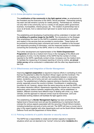#### **4.1.1.3 Crime perception management**

 The **mobilization of the community in the fight against crime**, as emphasized by the President and the Executive of the SAPS, will be prioritised. Partnership policing has been and still remains a priority for visible policing. Partnerships do, however, not only refer to the community, but to a variety of role players within government, business, municipalities, interest groups, etc. The creation of partnerships has to occur at all levels, from a national level right down to sector level at every police station.

The establishing and developing of partnerships will be undertaken in tandem with the **building of a positive image for the SAPS**. The introduction to this Strategic Plan emphasises the need for the SAPS to establish professionalism, authority and respect in the services that are provided to communities. These factors will be pursued by entrenching basic command and control, in addition to the focused and responsive providing of information, and the measured reaction to information concerning the functioning of the SAPS, which is in the public domain.

The further development and implementation of the **Victim Empowerment Programme** will also be a medium-term focus in the managing of the effects and perceptions of crime. It is the intention of the SAPS that the number of crimes reported to the SAPS, specifically contact crimes, increases over the medium-term. To facilitate the measuring of increased reporting of crime by victims, **an annual victim survey** will be conducted in collaboration with the other key departments in the CJS.

#### **4.1.1.4 Effectiveness and Integration of Border Management**

Improving **regional cooperation** is required to improve efforts in combating of crime that has the potential to affect the Southern African region and the Continent. The SAPS will take a leading role in defining the relationship between a local police station, borderline, port of entry and exit, and a police station in a neighbouring country. The establishment of effective regional policing is therefore the ultimate priority, especially around the country's borders. Counterparts in neighbouring countries do not, however, always have the same resources as does the SAPS, and this makes interaction difficult. Agreements regarding the shared use of resources, particularly police stations between neighbouring states, will be established. In addition, different countries have different ways of dealing with crime, e.g. stolen vehicles, and the approach to relevant crimes must be harmonized. Joint and coordinated working relations will facilitate the fight against crime.

The establishing of a **Border Management Agency** has been prioritised at the highest level of Government and will see the establishing of a mechanism that will oversee the various aspects associated with the securing of South Africa's borders, including borderlines and ports of entry and exit. The SAPS will have a crucial role to play in this regard together with other departments such as the South African National Defence Force and the Department of Home Affairs.

#### **4.1.1.5 Policing incidents of a public disorder or security nature**

The SAPS has a responsibility to create and maintain capacity to respond to situations which are not deemed to be "normal" crime but rather **incidents of a**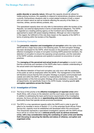**public disorder or security nature**. Although this capacity should be utilized for visible policing functions, the capability to respond to extraordinary situations remains a priority. Extraordinary situations refer to crowd-related incidents of both a violent and non-violent nature as well as incidents affecting the security of the State (i.e. marches, strikes, service delivery protests, etc).

P

This specialized capacity does not only refer to interventions within the borders of the Republic, but external deployments in terms of international obligations. The SAPS is regarded as a leading policing agency on the Continent and is therefore often approached to assist with peace keeping initiatives. Although our role is important in this regard, the fulfilment of this role does impact on the capacity of the SAPS in terms of policing within the borders of the Republic.

#### **4.1.1.6 Combating Corruption**

 The **prevention, detection and investigation of corruption** within the ranks of the SAPS will be a major focus area in the following years. An Anti-corruption Strategy has been developed for the SAPS, which focuses on the prevention of corruption, the effective investigation of cases of corruption involving SAPS personnel members, the detection of corruption to ensure the exposing corrupt practices, and the restoration of the SAPS' policies, procedures and systems to prevent re-occurrence of corrupt practices.

 The **managing of the perceived and actual levels of corruption** is crucial in order that the community and members of the SAPS alike have a realistic understanding of the actual extent and implications of corruption.

The effective detection of fraud and corruption can only occur with the assistance of the public as well as employees within the SAPS. The management of the SAPS will therefore ensure that the Anti-corruption Strategy is properly communicated both outside and within the SAPS, and that it is implemented to its fullest extent. The implementation of this Anti-corruption Strategy will be undertaken in conjunction with all departments, but specifically those in the JCPS Cluster, including specific **anticorruption operations across the Cluster**.

#### **4.1.2 Investigation of Crime**

- 4.1.2.1 The focus of this priority is the **effective investigation of reported crime** within South Africa, with a focus on the detection and the court-ready case docket rates. In addition to addressing the basic performance requirements of the investigative process, the focus will also be on **apprehending and charging known criminals**, particularly those that operate across provincial boundaries.
- 4.1.2.2 The DPCI is a key operational capacity within the SAPS and in order to give full effect to its mandate in terms of Section 17 (1) of the amended South African Police Service Act, capacity must be established and developed within this environment. This Directorate represents a specialised investigative capacity with the SAPS whose focus will be on crimes that are a **national priority such as serious economic crime, with a key consideration being the combating of cyber-crime and identity theft (focusing on securing the identity and status of citizens), corruption and organised crime**.

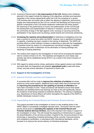- 4.1.2.3 A priority of Government is **the improvement of the CJS.** Medium-term initiatives planned in this regard include the aligning of the objectives, priorities and execution capacities of the various departments within the CJS; the compiling of a central CJS business plan and action plan to effect the aligning of objectives, performance targets and measurements for the CJS as a whole; the identifying and improving of specific components of the CJS whose weakness undermines the entire system; the improving of the performance of courts; the modernisation of the CJS through the development and implementation of tailored IT solutions; and the involving of the community at large in the fight against crime, focusing on securing community participation in key issues such as policing, parole boards and community sentencing.
- 4.1.2.4 **Increasing the capacity and professionalism** of detectives investigating crime has been a priority for some time within the SAPS, however, due to significant increases in capacity, a backlog has been created in the training of detectives. The SAPS will prioritize efforts to enlist sufficient numbers of detectives to deal with the investigation of reported crimes by means of a comprehensive recruitment strategy, in addition to increasing the skills of detectives via the elimination of training backlogs and retraining of existing detectives.
- 4.1.2.5 The medium-term target for the Investigation of crime will be increasing the detection rate for contact crimes to 57,5%. The baselines and targets for court-ready case dockets rate will be established during 2010/11 as a result of the recent inclusion of this indicator.
- 4.1.2.6 With regard to certain priority crimes, particularly crimes against women and children and stock theft, the Department will establish **specialised units** to deal with these crimes, and also ensure allocation of resources to these units.

#### **4.1.3 Support to the Investigation of Crime**

#### **4.1.3.1 Improve Forensic services and fingerprints**

A concerted effort will be made to **improve the collection of evidence** at crimes scenes by crime scene experts. Additional focus areas within this environment will be **improving the procedures for the updating of records of offenders** that have been convicted of crime. These procedures will therefore ensure that repeat offenders are identified before bail hearings are held as this will significantly reduce the incidence of bail being awarded to hardened offenders. The sharing of databases (e.g. Department of Home Affairs) will further strengthen the capacity of the SAPS to identify individuals involved in crime.

#### **4.1.3.2 Capacitating the Criminal Record and Forensic Science Service**

The support provided to the investigation of crime is a key enabling factor in the SAPS' ability to successfully investigate reported crime. During the next five years priority will be given to **extending the capacity of the Criminal Record and Forensic Science Services Division,** due to the important role it plays in support of the investigation of crime. This will include the expanding of infrastructure to support the decentralization of the services provided. Coupled to this, the procurement of new technology or expanding of existing technology will be a priority. Improved training and competency certification, in accordance with international standards, will be focused on to improve the service delivery of individual employees.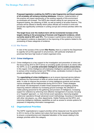**Proposed legislation enabling the SAPS to take fingerprints and blood samples of all arrestees will enhance existing databases.** However, implementation of this practice will impact significantly on the existing capacity of this environment as workloads will increase. The SAPS also intends vetting its own personnel via fingerprint testing, the obtaining of DNA, as well as testing of all police firearms. This process will be utilized to identify which police officials are involved in crime and should also significantly contribute in curbing corrupt and criminal activities within the SAPS.

P

 **The target focus over the medium-term will be incremental increase of the targets relating to the processing of forensic and fingerprint evidence, which currently stand at 92% and 76%.** The increase in performance relating to forensic and fingerprint evidence is dependent on the improving of the systems related to the processing of these categories of evidence.

#### **4.1.3.3 War Rooms**

In view of the success of the current **War Rooms,** there is a need for the Department to urgently roll out this approach to all provinces, with particular emphasis on provinces that have high levels of violent organised crime.

#### **4.1.4 Crime Intelligence**

4.1.4.1 Crime intelligence is a key support to the investigation and prevention of crime and the focus during 2010 to 2014 will be on providing quality services to its clients within the SAPS, so as to **provide actionable intelligence and to enable prosecutions**. In this regard, Crime Intelligence will emphasise intelligence operations pertaining to serious crime including contact and TRIO crimes, syndicates involved in drug and people smuggling, and human trafficking.

 The **capacitating of crime intelligence** so as to ensure improved service delivery will address the improvement of skills at various levels and the retention of these skills. In order to improve the provision of crime intelligence products and services, various strategies will be implemented during 2010 to 2014. These strategies will include: the development of better threat assessment and targeting systems; improving network collection by increasing ground coverage; the utilization of visible policing personnel for the gathering and provision of intelligence; increasing support for collectors by enforcing more effective management of sources; focusing on a "targeted" approach, i.e. more formal covert operations; improving targeted undercover operations through advanced covert methodology; focusing on interaction with other role players, e.g. other departments, Visible Policing and the DPCI; and improving intelligence database capabilities as well as access to remote systems for purposes of integrating information management.

# **4.2 Organisational Priorities**

The SAPS' organisational or support priorities will be measured over the period 2010 to 2014 in terms of the medium-term plans that have been developed specifically to ensure a comprehensive and integrated tabulation of the issues relating to the strategic priorities within this category.

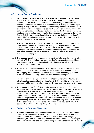## **4.2.1 Human Capital Development**

4.2.1.1 **Skills development and the retention of skills** will be a priority over the period 2010 - 2014. The shortage of skills within the SAPS cannot in all instances be addressed by the recruitment of personnel and the existing staff establishment must be developed to provide for certain of the scarce skills required. In this regard, training will play a vital role in creating pools of skilled personnel within the SAPS in order to meet future skill needs. This requires that a revision of existing training and skills retention practices and strategies be undertaken. The developing of additional training programmes to create pools of skilled personnel and a review of the current Scarce Skills Policy (to determine whether or not it is facilitating the retention of scarce skills), including the realization of Government's objectives contained in the Job Access Strategy, will be undertaken.

The SAPS' top management has identified "command and control" as one of the major problems being experienced in the management of personnel, above all at station level. It has therefore become essential to also develop and implement training courses for commanders at station level to not only provide them with the operational and tactical skills relevant to these jobs, but also to skill them in the management of their personnel.

- 4.2.1.2 The **focused recruitment of personnel** will continue to be a medium-term priority for the SAPS. There will, however, be a transition from volume-based recruiting to the more focused recruiting of individuals with skills that are required by the Department in its key areas of functionality.
- 4.2.1.3 The **health and wellness** of the SAPS' employees is an ongoing priority and the focus for the future will be on ensuring the health and wellness of employees, including physical maintenance, to ensure that members performing operational duties are capable of dealing with the physical demands of the job.

Employees can, however, only perform as well as what their physical surroundings allow them. In this regard, the improving of the SAPS' physical infrastructure, as per paragraph 4.2.2.1 below, will also impact positively on employee health and wellness.

4.2.1.4 The **transformation** of the SAPS must be progressed as a matter of urgency including issues such as representivity, racism, discrimination and effective discipline management. The improvement of the **employment equity** of the SAPS, in accordance with Government objectives, also remains a critical focus area. In this respect, existing affirmative action programmes will be continued and where required, additional programmes will be instituted. A concerted effort will be made to promote **gender equity** within the SAPS by developing and appointing women in decisionmaking posts. The drive to ensure the achievement of the required 2% target of people with disabilities within the SAPS will also be enhanced.

#### **4.2.2 Budget and Resource Management**

4.2.2.1 The need for the **improving of infrastructure** through a structured capital works programme within the SAPS, with specific reference to police stations and other office and specialized accommodation in the SAPS, is substantial. Budgetary constraints, however, impact on what can realistically be achieved. The building of new police stations, the renovation (refurbishing) of existing ones and the provision of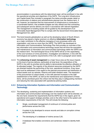accommodation in accordance with the determined need, will be prioritized in line with the operational priorities and objectives of the SAPS. The Long-term Infrastructure and Capital Asset Plan included in paragraph five below provides greater detail on the construction of stations and refurbishments planned over the medium-term. It will, however, be important that the improvement of infrastructure is conducted in a coordinated fashion, that available budgets are fully utilized and that contracting and subsequent service delivery are done in accordance with relevant legislation. The management of existing assets will be guided by the development of an Immovable Asset Management Plan to comply with the Government Immovable Asset Management Act, 2007.

F

- 4.2.2.2 The trend towards globalisation as well as the developing nature of South Africa's economy has placed a higher premium on effective **information technology** as a major contributor to the effective managing of core processes within any organisation, and none so more than the SAPS. The SAPS has developed an Information and Communications Technology Plan that provides an overview of the key information and communications technology issues that will drive the acquisition and maintenance of information and communication technology within the SAPS over the medium-term. The technological focus of the SAPS will be on the capacitating of the core functions of crime prevention, investigation and detection, in line with the technological and systems requirements of the CJS, refer to paragraph seven below.
- 4.2.2.3 The **enhancing of asset management** is a major focus area as this issue impacts on the level of service delivery, particularly at local level, the expenditure of the SAPS in line with its priorities and its ability to demonstrate the effective utilisation of its allocated budget. The majority of the physical resources employed by the SAPS are directed towards the performing of the core, operational functions. A key issue that must be addressed in this regard is the planned procurement and distribution of critical assets such as vehicles, firearms and bullet resistant vests. The expansion of the procurement of critical assets, in line with planned increases to the staff establishment of the SAPS, as well as the maintenance and replacement of these items, will be prioritized given the critical role that they play in safeguarding members and reducing the risks associated with operational policing duties.

#### **4.2.3 Enhancing Information Systems and Information and Communication Technology**

- 4.2.3.1 The developing, sustaining and implementation of information systems and information and communication technology over the medium-term will be directed, on the one hand, towards the requirements that the SAPS has in this regard, given its operational and support strategic priorities; and on the other hand to the system and information requirements of the CJS. This will include the following:
	- Single, coordinated management of continuum of criminal justice and performance across the CJS;
	- A system to be developed to ensure records and data on corruption crimes across the CJS;
	- The developing of a database of victims across CJS;
		- A database that enables convictions and sentences related to identity theft; and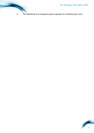The establishing of an integrated systems approach to combating cyber crime.

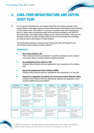# **5. LONG-TERM INFRASTRUCTURE AND CAPITAL ASSET PLAN**

5.1 The Long-term Infrastructure and Capital Asset Plan will respond directly to the requirements in this regard that have been determined by the National Commissioner, for the medium-term. The SAPS is currently in a position where the infrastructure that is in place does not provide access to the services provided by the SAPS to all communities, and certain police stations are in need of renovation. This plan will therefore direct the number of police stations that are constructed and renovated annually as well as the location of these stations.

The table below provides a medium-term infrastructre plan with regard to the construction and renovation of police stations  $2$ :

# **Definitions:**

- **New Police Stations (N)** Police Stations that are constructed in suburbs; townships; towns; cities or rural areas where no police stations existed previously.
- **Re-established Police Stations (RE)** Existing Police Stations that are replaced by new structures on its existing site.
- **Newly Re-established Police Stations (NRE)** Existing Police Stations that are replaced by new structures on a new site.
- **Repaired & Upgraded (including new structures) Police Stations (R&U)** Existing Police Stations that are extensively repaired and upgraded, which includes additional accommodation.

| <b>Province</b>     | 2010/11                              | 2011/12                            | 2012/13                                  | 2013/14                                                   | 2014/15                                         |
|---------------------|--------------------------------------|------------------------------------|------------------------------------------|-----------------------------------------------------------|-------------------------------------------------|
| <b>Eastern Cape</b> | Chungwa Police<br>Station (NRE)      | Cradock Police<br>Station (NRE)    | <b>Bolo Police Station</b><br>(R&U)      | Kamesh Police<br>Station (RE)                             | Queenstown Police<br>Station (R&U)              |
|                     | <b>Bisho Police</b><br>Station (NRE) | East London 10111<br>(N)           | Paterson Police<br>Station (R&U)         | Joza Police Station<br>(N)                                |                                                 |
|                     | Lady Frere Police<br>Station (NRE)   | Port Elizabeth<br>10111 Centre (N) | Steytlerville Police<br>Station (R&U)    | <b>Hankey Police</b><br>Station & Living<br>Quarters (RE) |                                                 |
|                     | Humewood Police<br>Station (R&U)     | Mtatha 10111<br>Centre (N)         |                                          | <b>Bethelsdorp Police</b><br>Station (RE)                 |                                                 |
|                     | Mount Road Police<br>Station (R&U)   |                                    |                                          | Lusikisiki Police<br>Station (NRE)                        |                                                 |
|                     |                                      |                                    |                                          |                                                           |                                                 |
| <b>Free State</b>   | Zandela Police<br>Station & LCRC (N) | Clocolan Police<br>Station (R&U)   | Kagisanong Police<br>Station (RE)        | Springfontein<br>Police Station (RE)                      | Vrede Cattle Theft<br>Unit (NRE)                |
|                     | Bloemfontein 10111<br>Centre (NRE)   |                                    | <b>Smithfield Police</b><br>Station (RE) |                                                           | Sonskyn<br>(Bloemspruit)<br>Police Station (RE) |

<sup>2</sup> Subject to change due to unforeseen delays including weather delays; labour strikes; unavailability of material; scope changes; poor performance by contractor; bankruptcy by contractor; etc.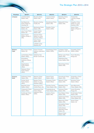|                            |                                                 |                                                             |                                                    |                                                   | The Strategic Plan 2010 t                                    |
|----------------------------|-------------------------------------------------|-------------------------------------------------------------|----------------------------------------------------|---------------------------------------------------|--------------------------------------------------------------|
|                            |                                                 |                                                             |                                                    |                                                   |                                                              |
| <b>Province</b><br>Limpopo | 2010/11<br>Letsitele Police<br>Station (RE)     | 2011/12<br>Mussina Police<br>Station (RE)                   | 2012/13<br><b>Tzaneen Police</b><br>Station (R&U)  | 2013/14<br><b>Bolobedu Police</b><br>Station (RE) | 2014/15<br>Thabazimbi<br><b>Training College</b><br>(RE)     |
|                            | Ga-Masemola<br>Police Station &<br>Housing (N)  | Mussina Holding<br>Facility (N)                             | <b>Elandskraal Police</b><br>Station (RE)          | <b>Malipsdrift Police</b><br>Station (RE)         | <b>Hlogotlou Police</b><br>Station & Living<br>Quarters (RE) |
|                            | <b>Matoks Police</b><br>Station (N)             | Mankweng Police<br>Station (RE)                             | Roedtan Police<br>Station (NRE)                    |                                                   | Giyani Police<br>Station (Phase 2)                           |
|                            | Jane Furse Police<br>Station (N)                | Vuwani Police<br>Station (RE)                               |                                                    |                                                   | (RE)                                                         |
|                            | Giyani Police<br>Station (Phase 1)<br>(RE)      | Dzanani Police<br>Station & Living<br>Quarters (R&U)        |                                                    |                                                   |                                                              |
|                            |                                                 | <b>Tolwe Police</b><br>Station (RE)                         |                                                    |                                                   |                                                              |
|                            |                                                 | Letsitele Living<br>Quarters (N)                            |                                                    |                                                   |                                                              |
|                            |                                                 |                                                             |                                                    |                                                   |                                                              |
| Western<br>Cape            | <b>Blue Downs Police</b><br>Station (N)         | Parow Forensic<br>Science Laboratory<br>(NRE)               | <b>Dysselsdorp Police</b><br>Station (NRE)         | Lentegeur Police<br>Station & LCRC (N)            | Gugulethu Police<br>Station (NRE)                            |
|                            | Lambertsbay Police<br>Station (R&U)             | Saldanha Sea<br>Border Control (N)                          |                                                    | <b>Bishop Lavis Police</b><br>Station (RE)        | Faure Shooting<br>Range (N)                                  |
|                            | Khayelitsha<br>Detective Offices<br>(RE)        |                                                             |                                                    | Plettenberg Bay<br>Police Station (RE)            |                                                              |
|                            | Dagamaskop<br><b>Police Station</b><br>(R&U)    |                                                             |                                                    | Muizenberg Police<br>Station (RE)                 |                                                              |
|                            | <b>Riebeeck West</b><br>Police Station<br>(R&U) |                                                             |                                                    |                                                   |                                                              |
|                            |                                                 |                                                             |                                                    |                                                   |                                                              |
| Kwazulu<br><b>Natal</b>    | Esikhawini Police<br>Station (RE)               | Weenen Police<br>Station (R&U)                              | Sawoti Police<br>Station (R&U)                     | Donnybrook Police<br>Station (RE)                 | Gingindlovu Police<br>Station (R&U)                          |
|                            | Durban North<br>Police Station<br>(R&U)         | <b>Besters Police</b><br>Station & Living<br>Quarters (R&U) | Emanguzi Police<br>Station (R&U)                   | <b>Melmoth Police</b><br>Station (RE)             | Montclair Police<br>Station (R&U)                            |
|                            | <b>Beraville Police</b><br>Station (R&U)        | Ntuzuma CCTV<br>Control Room (N)                            | Ekombe Central<br>Police Station (RE)              | Madadeni Police<br>Station (RE)                   | Kwa-Mbonambi<br>Police Station (RE)                          |
|                            | Chatsworth Police<br>Station (R&U)              | Greenwood Park<br>Police Station:                           | Paulpietersburg<br>Police Station (RE)             | <b>Hluhluwe Police</b><br>Station (RE)            | <b>Ulundi Shooting</b><br>Range (N)                          |
|                            | Scottburgh Police<br>Station (R&U)              | (NRE)                                                       | Detective Office<br>Colenso Police<br>Station (RE) | Kwa-Mashu Police<br>Station (RE)                  | <b>Ematimatolo Police</b><br>Station (RE)                    |
|                            |                                                 |                                                             |                                                    | Ingwavuma Police<br>Station (RE)                  | Kwa-Nocomboshe<br>Police Station (N)                         |
|                            |                                                 |                                                             |                                                    | Mapumulo Police<br>Station (RE)                   | Nsuze Police<br>Station (N)                                  |
|                            |                                                 |                                                             |                                                    | Gamalakhe Police<br>Station (RE)                  |                                                              |
|                            |                                                 |                                                             |                                                    | Umbumbano<br>(Nkandla) Police<br>Station (N)      |                                                              |
|                            |                                                 |                                                             |                                                    | <b>Bizana Police</b><br>Station (RE)              |                                                              |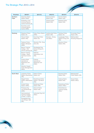# The Strategic Plan 2010 to 2014

| <b>Province</b>         | 2010/11                                                                    | 2011/12                                           | 2012/13                               | 2013/14                                            | 2014/15                                 |
|-------------------------|----------------------------------------------------------------------------|---------------------------------------------------|---------------------------------------|----------------------------------------------------|-----------------------------------------|
| <b>Northern</b><br>Cape | <b>Kakamas Police</b><br>Station (NRE)                                     |                                                   | Keimoes Police<br>Station (RE)        | Sunrise Police<br>Station (RE)                     |                                         |
|                         | Kimberley Local<br><b>Criminal Record</b><br>Centre Archives (N)           |                                                   | <b>Tsineng Police</b><br>Station (RE) | <b>Boetsap Police</b><br>Station (RE)              |                                         |
|                         | Kuruman Local<br><b>Criminal Record</b><br>Centre (NRE)                    |                                                   |                                       |                                                    |                                         |
|                         |                                                                            |                                                   |                                       |                                                    |                                         |
| Gauteng                 | <b>Diepsloot Police</b><br>Station (N)                                     | Dube Police Station<br>(NRE)                      | Carletonville Police<br>Station (RE)  | <b>Tembisa Police</b><br>Station (N)               | <b>Ennerdale Police</b><br>Station (RE) |
|                         | <b>Tokoza Police</b><br>Station (RE)                                       | Doornkop Police<br>Station (N)                    | Silverton: Diving<br>Unit (R&U)       | Langlaagte Police<br>Station & Dog Unit<br>(RE)    | Wallmansthal<br>Shooting Range (N)      |
|                         | <b>Tsakane Police</b><br>Station (Brakpan)<br>(NRE)                        | Silverton FSL: Drug<br>store (N)                  |                                       | <b>Silverton Police</b><br>Station (RE)            |                                         |
|                         | <b>Benoni Training</b><br>College: K53<br>(Driver training) (N)            | Roodeplaat Dog<br>School (Phase 2)<br>(R&U)       |                                       |                                                    |                                         |
|                         | <b>Benoni Training</b><br>College: Radio<br><b>Technical Centre</b><br>(N) | National<br>Intervention Unit<br>(RE)             |                                       |                                                    |                                         |
|                         | Pretoria West<br>Operational<br>Response Unit<br>(RE)                      | Pretoria<br>Operational<br>Response Unit<br>(R&U) |                                       |                                                    |                                         |
|                         | Silverton Supply<br>Chain Management<br>(R&U)                              |                                                   |                                       |                                                    |                                         |
|                         |                                                                            |                                                   |                                       |                                                    |                                         |
| <b>North West</b>       | Jouberton Police<br>Station (Klerksdorp)<br>(RE)                           | <b>Hebron Police</b><br>Station (N)               |                                       | <b>Itsoseng Police</b><br>Station (RE)             | Makapanstad<br>Police Station (RE)      |
|                         | <b>Klipgat Police</b><br>Station (Mabopane)<br>(N)                         | Rustenburg Police<br>Station: Cell Block<br>(RE)  |                                       | Vryburg Police<br>Station (RE)                     | <b>Taung Police</b><br>Station (R&U)    |
|                         | Amalia Police<br>Station (NRE)                                             | <b>Boitekong Police</b><br>Station (RE)           |                                       | <b>Rustenburg Police</b><br>Station (R&U)          |                                         |
|                         | Phokeng Dog<br>Unit (Rustenburg)<br>(NRE)                                  | Zeerust Police<br>Station (RE)                    |                                       | Potchefstroom<br><b>Training Facility</b><br>(R&U) |                                         |
|                         | Hammanskraal<br><b>Training College</b><br>(Phase 1) (R&U)                 | Lehurutse Dog Unit<br>(R&U)                       |                                       |                                                    |                                         |
|                         | Roodeplaat Dog<br>Unit (Phase 1&2)<br>(RE)                                 |                                                   |                                       |                                                    |                                         |

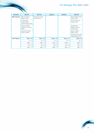|                      |                                                    |                                 |              |              | The Strategic Plan 2010 t                      |
|----------------------|----------------------------------------------------|---------------------------------|--------------|--------------|------------------------------------------------|
| <b>Province</b>      | 2010/11                                            | 2011/12                         | 2012/13      | 2013/14      | 2014/15                                        |
| Mpumalanga           | Mbuzini Police<br>Station (RE)                     | Hazyview Living<br>Quarters (N) |              |              | Mmametlake Police<br>Station (RE)              |
|                      | Tweefontein<br>Police Station<br>(Kwamhlanga) (RE) |                                 |              |              | Grootvlei Police<br>Station (RE)               |
|                      | Pienaar Police<br>Station & Housing<br>(NRE)       |                                 |              |              | Siyathemba<br>(Balfour) Police<br>Station (RE) |
|                      | <b>Hazyview Police</b><br>Station (NRE)            |                                 |              |              | Masoyi Police<br>Station (RE)                  |
|                      |                                                    |                                 |              |              | Wesselton (Ermelo)<br>Police Station (N)       |
| <b>Total Figures</b> | Total = $42$                                       | Total = $29$                    | Total = $18$ | Total = $31$ | Total = $24$                                   |
|                      | $N = 10$                                           | $N = 10$                        | $N = 0$      | $N = 4$      | $N = 6$                                        |
|                      | $NRE = 11$                                         | $NRE = 4$                       | $NRE = 2$    | $NRE = 1$    | $NRE = 2$                                      |
|                      | $RE = 10$                                          | $RE = 8$                        | $RE = 9$     | $RE = 24$    | $RE = 12$                                      |
|                      | $R&U = 11$                                         | $R&U=7$                         | $R&U=7$      | $R&U=2$      | $R&U=4$                                        |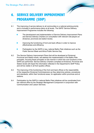# **6. SERVICE DELIVERY IMPROVEMENT PROGRAMME (SDIP)**

- 6.1 The improving of service delivery to all communities is a national policing priority and is included in performance plans at all levels. The SAPS' Service Delivery Improvement Programme includes the following:
	- The development and implementation of Service Delivery Improvement Plans and Service Delivery Charters (in consultation with relevant role-players at divisional, provincial and station levels).
	- Improving the functioning of front and back offices in order to improve effectiveness and efficiency.
	- Participation by the SAPS in key, national Batho Pele initiatives such as the Public Service Week and Africa Public Service Day.
- 6.2 The Service Delivery Improvement Plans that will be developed at Divisional, Provincial and Station levels, will address the implementation of the Batho Pele principles, focusing these principles on the manner in which the core functions of the SAPS are performed. Service Delivery Charters compiled at Divisional, Provincial and Station levels will impart the information reflected in the Department's SDIP Policy and will be visible in all front (public) offices.
- 6.3 The improving of the functioning of the front and back offices is the responsibility of the respective Divisional Commissioners as they determine policies, procedures and standards, within their functional areas, for application within provinces and at stations.
- 6.4 Participation by the SAPS in national Batho Pele initiatives will be coordinated from the national office by the Strategic Management Component in conjunction with Communication and Liaison Services.

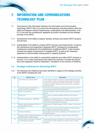# **7. INFORMATION AND COMMUNICATIONS TECHNOLOGY PLAN**

- 7.1 The purpose of the Information Systems and Information and Communication Technology (IS/ICT) Plan is to ensure the development (including systems within the SAPS and between relevant Departments), sustainability and implementation of IS/ ICT in line with the constitutional, legislative and policy mandates and the strategic priorities of the SAPS.
- 7.1.1 Development is the ability to expand, develop, enhance and extend IS/ICT products and services.
- 7.1.2 Sustainability is the ability to maintain IS/ICT services and infrastructures. It ensures the maintenance and upgrading of deployed IS/ICT, including the consequential maintenance resulting from the establishment of additional IS/ICT. It also includes renewal and regular enhancement of outdated IS/ICT, as well as the necessary expansion to accommodate natural growth in capacity required.
- 7.1.3 Implementation is the ability to successfully implement and utilize IS/ICT products or services. It is a critical requirement that implies the resolution of certain key factors that could negatively influence initialization, completion or the outcome of initiatives.

# **7.2 Strategic Initiatives for Advancing IS/ICT**

| 7.2.1 The following new initiatives have been identified in support of the strategic priorities |
|-------------------------------------------------------------------------------------------------|
| of the SAPS, including the CJS:                                                                 |
|                                                                                                 |

| No.            | Initiative name                                                                | <b>Description</b>                                                                                                                                                                                                                                                                                    |
|----------------|--------------------------------------------------------------------------------|-------------------------------------------------------------------------------------------------------------------------------------------------------------------------------------------------------------------------------------------------------------------------------------------------------|
| 1              | Action Request for Service (ARS)                                               | A crime related complaint or request could be lodged directly with<br>a police official on duty at an Emergency Response Centre (ERC)<br>or in person at a Community Services Centre (CSC). It entails the<br>recording of incidents reported by the public and the consequent<br>actions to be taken |
| $\mathbf{2}$   | Automatic Fingerprint Indentification<br>System (AFIS) Civil Database          | Functionality for the capturing and storing of fingerprints on AFIS of<br>civil persons applying for Illicit Activity Reports                                                                                                                                                                         |
| 3              | <b>Border Line Operations</b>                                                  | Real-time enguiries of stolen vehicles, firearms and missing/wanted<br>persons                                                                                                                                                                                                                        |
| $\overline{4}$ | Cyber crime                                                                    | Cyber crime is a growing worldwide phenomena that requires<br>attention                                                                                                                                                                                                                               |
| 5              | Detention Management - (SAPSDM)                                                | Establishes an integrated business, information, system and ICT<br>architectures, for the management of a detainee from the time of<br>arrest until the legal release of the person                                                                                                                   |
| 6              | Digital Imaging Development Project for<br><b>Criminal Records Centre</b>      | Implementation of Digital Imaging in SAPS to replace conventional<br>photos                                                                                                                                                                                                                           |
| $\overline{7}$ | E-Learning                                                                     | Provisioning of a more cost-effective leaning and teaching facility.<br>also in support of life-long on the job learning.                                                                                                                                                                             |
| 8              | <b>Electronic Publishing</b>                                                   | Functionality for the electronic publishing of Criminal Record- and<br><b>Illicit Activity Reports</b>                                                                                                                                                                                                |
| 9              | Fingerprint Exhibit Imaging Development<br>Project (Subset of Digital Imaging) | A digital capacity to photograph Fingerprint Lifters and Exhibits                                                                                                                                                                                                                                     |
| 10             | Forensic Science Laboratory: Integrated<br>Case Management System              | A computerised system to support the Forensics Science Laboratory<br>in the execution of daily activities and optimise chain of custody<br>processes                                                                                                                                                  |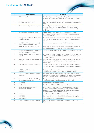| No. | Initiative name                                                              | <b>Description</b>                                                                                                                                                                                                                                  |
|-----|------------------------------------------------------------------------------|-----------------------------------------------------------------------------------------------------------------------------------------------------------------------------------------------------------------------------------------------------|
| 11  | ID Services (IJS)                                                            | Provide a single, unified approach and capability to ensure that an<br>individual can be uniquely identified upon his/her entry into the IJS<br>process                                                                                             |
| 12  | <b>IJS Transversal Architecture</b>                                          | Gather and formulate requirements for technical architecture design<br>work                                                                                                                                                                         |
| 13  | <b>IJS Transversal Capability Development</b>                                | The development of various management applications, the<br>establishment of the interoperability layer, the development of<br>integrations and the provision of various transversal services like the<br><b>IJS Portal</b>                          |
| 14  | <b>IJS Transversal Hub infrastructure</b>                                    | An inter-departmental information exchange and value-added<br>services platform to promote the integration of the criminal justice<br>business processes                                                                                            |
| 15  | Investigation Case Docket Management -<br>(Administer Case)                  | The management and administration of criminal cases, inquests and<br>enquiries throughout the life cycle of a case, i.e. from inception to<br>disposal                                                                                              |
| 16  | Local Criminal Record Centre (LCRC)<br>Admin Information System (LIAS)       | An Information System to manage all LCRC activities                                                                                                                                                                                                 |
| 17  | Mobile Operational Vehicles Project                                          | An operational requirement for Mobile Communication Vehicles to<br>ensure effective command and control communications                                                                                                                              |
| 18  | National Key Points System Integration<br>into Risk Management System        | Complete function taken over by SAPS from Department of Defence                                                                                                                                                                                     |
| 19  | Property Control & Exhibit Management<br>(PCEM)                              | To manage exhibits and property items from the time they enter the<br>SAPS process until the lawful disposal thereof, without terminating<br>the current system                                                                                     |
| 20  | Modernization at Ports of Entry (land, sea<br>and air)                       | A joint project between SAPS, South African Revenue Services and<br>Department of Home Affairs to optimize hardware and software at<br>Ports of Entry                                                                                               |
| 21  | SAPS integration hub infrastructure (IJS)                                    | Establish an effective and efficient approach to enable accelerated<br>connectivity between the applicable SAPS application areas and the<br><b>IJS</b>                                                                                             |
| 22  | <b>SAPS Network Modernization</b><br>Programme                               | Redesign the SAPS network to cater for modern technology<br>capabilities and the replacement of redundant infrastructure                                                                                                                            |
| 23  | STRLab (Oracle) for Forensic Science<br>Laboratory                           | The exhibit material and scientific findings based on the forensic<br>investigation together with other case-related materials are used as<br>evidence in the prosecution of criminal cases by court of law                                         |
| 24  | Veterinary Service System Third Party<br><b>Software Acquisition Project</b> | Third party product entailing a practice management system used by<br>private Veterinary Doctors to be adapted for SAPS use                                                                                                                         |
| 25  | Webification                                                                 | Modernization of the legacy systems                                                                                                                                                                                                                 |
| 26  | War Rooms                                                                    | Establish the IS/ICT capabilities and capacity required                                                                                                                                                                                             |
| 27  | Modernization and expansion of<br>hardware and software                      | Crime Intelligence, Detective Services, Support Services, Ports<br>of Entry, Criminal Record Centers (CRC) and Forensic Science<br>Laboratories (FSL), Police Stations, 10111 Centres, optimise the<br>inter-departmental capabilities and capacity |
| 28  | Interpol                                                                     | Establish the IS/ICT capabilities and capacity required                                                                                                                                                                                             |
| 29  | SARPCCO                                                                      | Compile an IS/ICT plan and establish IS/ICT capabilities required                                                                                                                                                                                   |
| 30  | Office automation                                                            | Implement office automation solutions                                                                                                                                                                                                               |
| 31  | Risk Management Information System                                           | Facilitate the managing of the risk management process in the<br>Department                                                                                                                                                                         |

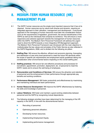# **8. MEDIUM-TERM HUMAN RESOURCE (HR) MANAGEMENT PLAN**

- 8.1 The SAPS' human resources are the single-most important resource that it has at its disposal. Human resources are by nature both diverse and dynamic, requiring an integrated approach to their utilization, management and development. A structured approach to the managing of human resources must take into consideration factors such as the requirements of legislation, government, the service beneficiaries of the SAPS as well as the individuals that comprise its workforce. This will ensure a more responsive and cohesive approach towards the management of human resources within the SAPS. The Medium-Term Personnel Framework will address the urgent need to direct the SAPS towards a more Integrative HR Management approach. The Medium-Term Personnel Framework was introduced with the main objective to institutionalise the key values and principles of the Public Service as also reflected in the SAPS Regulations, 2008, and is divided into the following six pillars:
- 8.1.1 **Staffing Plan**: Will ensure the effective, efficient and economic planning, forecasting and distribution of new entry level personnel to meet the future HR demands within the scope of specific job requirements and employment equity guidelines taking into consideration other environmental factors impacting on the overall staffing plan.
- 8.1.2 **Staffing practices**: Will ensure fair and effective procedures and processes for recruitment, appointment, promotion, deployment, etc. of personnel to meet the SAPS' needs and to ensure the well-being of employees.
- 8.1.3 **Remuneration and Conditions of Services**: Will ensure the attraction and retention of personnel and the enhancement of their performance through appropriate pay, benefits and working conditions.
- 8.1.4 **Performance Management**: Will foster productivity and effectiveness by maximizing and maintaining individual and team performance.
- 8.1.5 **Human Resource Development**: Will improve the SAPS' effectiveness by fostering the skills and knowledge of personnel.
- 8.1.6 **Labour Relations**: Will foster and maintain a good working relationship between personnel and the SAPS by recognizing mutual dependence.
- 8.2 The following strategic priorities have been determined for the managing of the HR capacity in the SAPS, in line with the aforementioned factors:
	- Recruiting of personnel;
	- Optimising personnel utilisation;
	- Developing human resources:
	- Implementing Employment Equity;
	- Implementing performance management;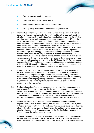

- Ensuring a professional service ethos;
- Providing a health and wellness service;
- Providing legal advisory and support services; and
- Ensuring policy compliance in support of strategic priorities.
- 8.3 The mandate of the SAPS as described by the Constitution is a critical element of Government's strategic direction for the country and therefore requires the optimal utilisation of personnel. This optimising of personnel utilisation includes the effective selection, appointment and placement of personnel according to the HR Plan; the developing, maintaining and implementation conditions of service; managing the implementation of the Incentives and Rewards Strategy; and facilitating, developing, implementing and maintaining human resource policies. By developing and implementing a HR Plan, the SAPS commits itself to acknowledge people as its most important asset in achieving its priorities. HR Planning is the two-way operational link between high-level strategy and action-orientated implementation that can be monitored and evaluated regularly. Monitoring, evaluation, and reporting on the efficacy of annual HR Plans is essential for ensuring that current information is used for organisational decision-making and problem-solving. The evaluation of progress is critical for continuous improvement within the SAPS, and the HR Planning function more specifically. The monitoring and evaluation of the targets and strategies set out in the annual HR Plans will provide the basis for the determining of new targets and strategies to address any discrepancies and gaps per financial year.
- 8.4 The implementation of employment equity is key to the continued transformation of the SAPS and its ability to understand and respond to the needs of the community. The monitoring of employment equity and disability targets; initiating interventions where necessary; monitoring compliance of existing programmes; the implementing of the affirmative action programme; women empowerment programmes and programmes for the eliminating of unfair discrimination, are issues that have been prioritized over the medium-term.
- 8.5 The institutionalizing of performance management is critical for the pursuance and achievement of priorities. In assessing the delivery on the priorities there should be a relationship between the individual, organisational performance and the systems in terms of which performance is measured. In this regard the reviewing and maintaining of performance management and supplementary compensatory systems and initiating, developing and implementing generic performance plans will be pursued.
- 8.6 The Minister as well as the National Commissioner have placed considerable emphasis on the levels of service delivery that are provided to communities by the 1 117 police stations country-wide. The further institutionalising of a professional service ethos by the effective managing of discipline and the facilitating of improved service integrity will support other Programmes such as the Service Delivery Improvement Programme and the Anti-corruption Strategy.
- 8.7 The administering and managing of contracts, agreements and labour requirements; the provision of legal advice in line with organizational requirements; the developing and implementation of the required legislation and managing of civil litigation involving

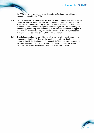

the SAPS are issues central to the provision of a professional legal advisory and support services within the SAPS.

- 8.8 HR policies signify the intent of the SAPS to intervene in specific directions to ensure proper and effective human resource development and utilisation. The goal of HR Policies is to continuously develop the potential and capabilities of the workforce and to ensure it achieves the set strategic priorities and objectives. The developing, cocoordinating, maintaining and implementing of policies and procedures in support of the relevant governmental policy and strategic priorities of the SAPS, will assist the management and personnel of the SAPS to act accordingly.
- 8.9 The strategic priorities and salient issues within each priority that will focus human resource planning in the SAPS over the medium-term, will be refined on an annual basis with the development of an annual HR Plan that focuses on enabling the implementation of the Strategic Direction of the SAPS through the Annual Performance Plan and performance plans at all levels within the SAPS.

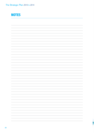# **NOTES**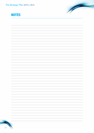

# **NOTES**